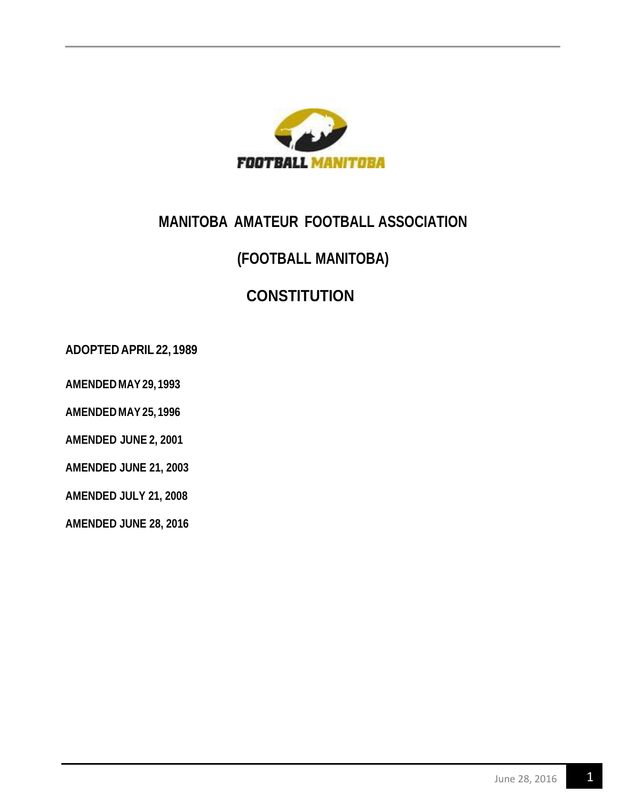

# **MANITOBA AMATEUR FOOTBALL ASSOCIATION**

## **(FOOTBALL MANITOBA)**

# **CONSTITUTION**

**ADOPTED APRIL 22, 1989**

**AMENDED MAY29, 1993**

**AMENDED MAY25, 1996**

**AMENDED JUNE 2, 2001**

**AMENDED JUNE 21, 2003**

**AMENDED JULY 21, 2008**

**AMENDED JUNE 28, 2016**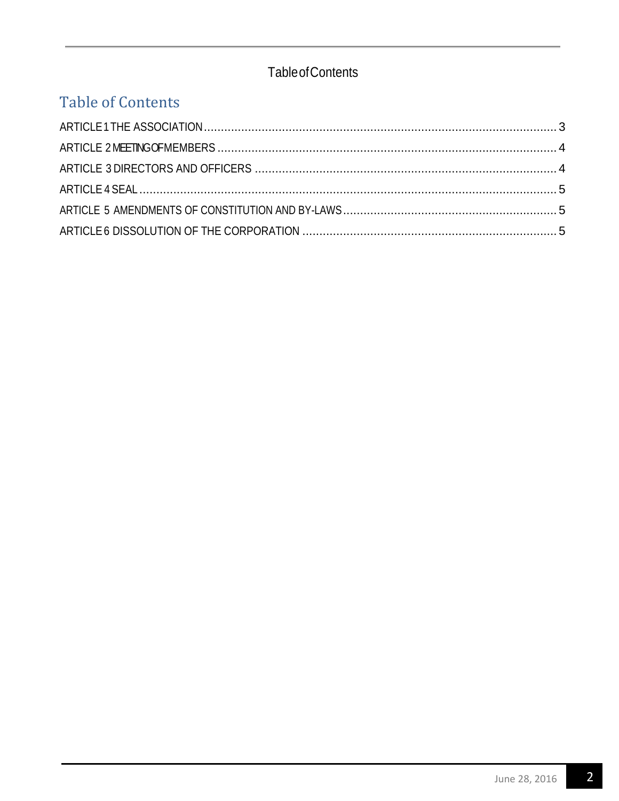### **Table of Contents**

# **Table of Contents**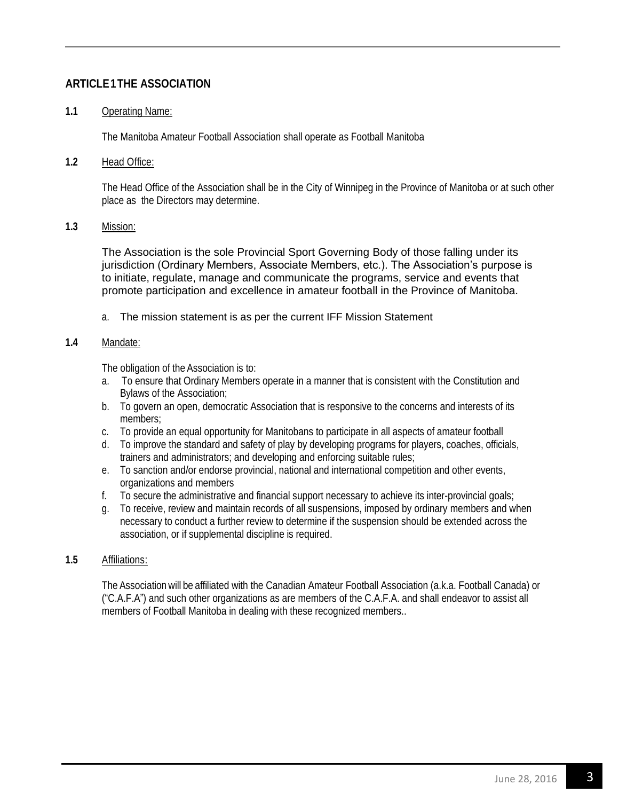#### <span id="page-2-0"></span>**ARTICLE1THE ASSOCIATION**

#### **1.1** Operating Name:

The Manitoba Amateur Football Association shall operate as Football Manitoba

#### **1.2** Head Office:

The Head Office of the Association shall be in the City of Winnipeg in the Province of Manitoba or at such other place as the Directors may determine.

#### **1.3** Mission:

The Association is the sole Provincial Sport Governing Body of those falling under its jurisdiction (Ordinary Members, Associate Members, etc.). The Association's purpose is to initiate, regulate, manage and communicate the programs, service and events that promote participation and excellence in amateur football in the Province of Manitoba.

a. The mission statement is as per the current IFF Mission Statement

#### **1.4** Mandate:

The obligation of the Association is to:

- a. To ensure that Ordinary Members operate in a manner that is consistent with the Constitution and Bylaws of the Association;
- b. To govern an open, democratic Association that is responsive to the concerns and interests of its members;
- c. To provide an equal opportunity for Manitobans to participate in all aspects of amateur football
- d. To improve the standard and safety of play by developing programs for players, coaches, officials, trainers and administrators; and developing and enforcing suitable rules;
- e. To sanction and/or endorse provincial, national and international competition and other events, organizations and members
- f. To secure the administrative and financial support necessary to achieve its inter-provincial goals;
- g. To receive, review and maintain records of all suspensions, imposed by ordinary members and when necessary to conduct a further review to determine if the suspension should be extended across the association, or if supplemental discipline is required.

#### **1.5** Affiliations:

The Association will be affiliated with the Canadian Amateur Football Association (a.k.a. Football Canada) or ("C.A.F.A") and such other organizations as are members of the C.A.F.A. and shall endeavor to assist all members of Football Manitoba in dealing with these recognized members..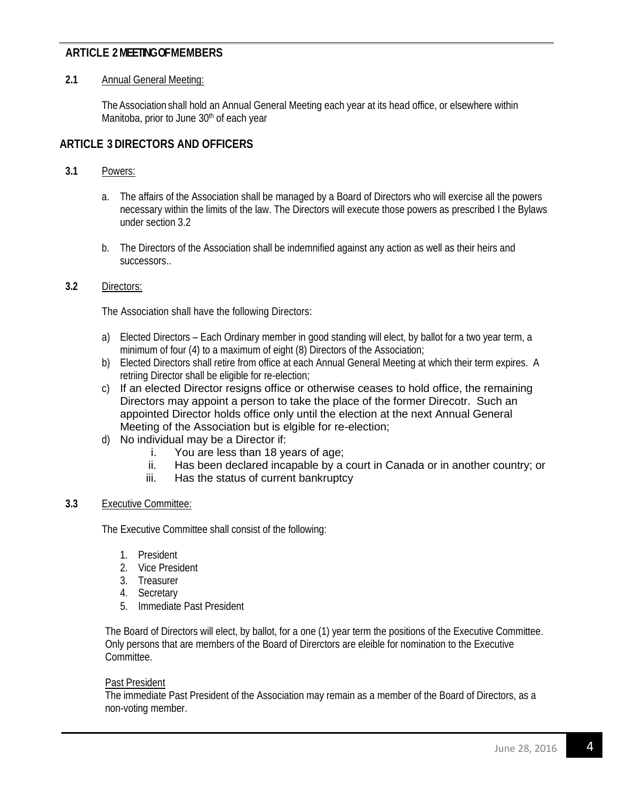#### <span id="page-3-0"></span>**ARTICLE 2 MEETING OF MEMBERS**

#### **2.1** Annual General Meeting:

TheAssociation shall hold an Annual General Meeting each year at its head office, or elsewhere within Manitoba, prior to June 30<sup>th</sup> of each year

#### <span id="page-3-1"></span>**ARTICLE 3 DIRECTORS AND OFFICERS**

#### **3.1** Powers:

- a. The affairs of the Association shall be managed by a Board of Directors who will exercise all the powers necessary within the limits of the law. The Directors will execute those powers as prescribed I the Bylaws under section 3.2
- b. The Directors of the Association shall be indemnified against any action as well as their heirs and successors..

#### **3.2** Directors:

The Association shall have the following Directors:

- a) Elected Directors Each Ordinary member in good standing will elect, by ballot for a two year term, a minimum of four (4) to a maximum of eight (8) Directors of the Association;
- b) Elected Directors shall retire from office at each Annual General Meeting at which their term expires. A retriing Director shall be eligible for re-election;
- c) If an elected Director resigns office or otherwise ceases to hold office, the remaining Directors may appoint a person to take the place of the former Direcotr. Such an appointed Director holds office only until the election at the next Annual General Meeting of the Association but is elgible for re-election;
- d) No individual may be a Director if:
	- i. You are less than 18 years of age;
	- ii. Has been declared incapable by a court in Canada or in another country; or
	- iii. Has the status of current bankruptcy

#### **3.3** Executive Committee:

The Executive Committee shall consist of the following:

- 1. President
- 2. Vice President
- 3. Treasurer
- 4. Secretary
- 5. Immediate Past President

The Board of Directors will elect, by ballot, for a one (1) year term the positions of the Executive Committee. Only persons that are members of the Board of Direrctors are eleible for nomination to the Executive Committee.

#### Past President

The immediate Past President of the Association may remain as a member of the Board of Directors, as a non-voting member.